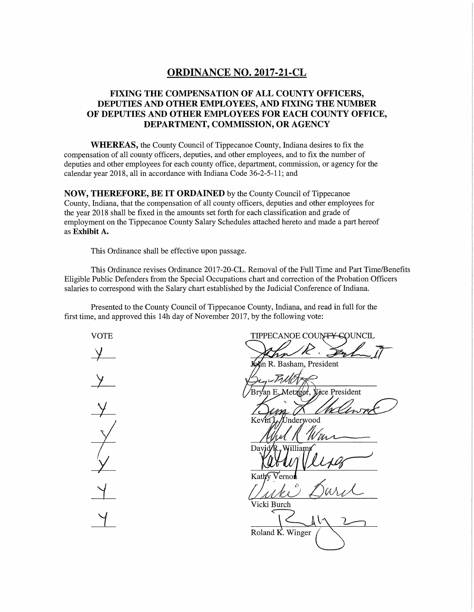# **ORDINANCE NO. 2017-21-CL**

## **FIXING THE COMPENSATION OF ALL COUNTY OFFICERS, DEPUTIES AND OTHER EMPLOYEES, AND FIXING THE NUMBER OF DEPUTIES AND OTHER EMPLOYEES FOR EACH COUNTY OFFICE, DEPARTMENT, COMMISSION, OR AGENCY**

**WHEREAS,** the County Council of Tippecanoe County, Indiana desires to fix the compensation of all county officers, deputies, and other employees, and to fix the number of deputies and other employees for each county office, department, commission, or agency for the calendar year 2018, all in accordance with Indiana Code 36-2-5-11; and

**NOW, THEREFORE, BE IT ORDAINED** by the County Council of Tippecanoe County, Indiana, that the compensation of all county officers, deputies and other employees for the year 2018 shall be fixed in the amounts set forth for each classification and grade of employment on the Tippecanoe County Salary Schedules attached hereto and made a part hereof as **Exhibit A.** 

This Ordinance shall be effective upon passage.

This Ordinance revises Ordinance 2017-20-CL. Removal of the Full Time and Part Time/Benefits Eligible Public Defenders from the Special Occupations chart and correction of the Probation Officers salaries to correspond with the Salary chart established by the Judicial Conference of Indiana.

Presented to the County Council of Tippecanoe County, Indiana, and read in full for the first time, and approved this 14h day of November 2017, by the following vote:

VOTE TIPPECANOE COUNTY COUNCIL Pap n R. Basham, President Vice President /letz/g/er 'Jnderwood Kat Vicki Burch Roland K. Winger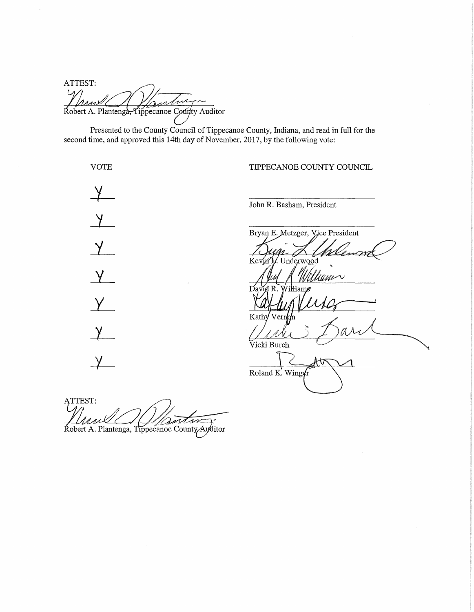ATTEST: Robert A. Plantenga, Tippecanoe County Auditor

Presented to the County Council of Tippecanoe County, Indiana, and read in full for the second time, and approved this 14th day of November, 2017, by the following vote:

VOTE TIPPECANOE COUNTY COUNCIL  $\frac{\gamma}{\gamma}$ John R. Basham, President  $\lambda$ Bryan E. Metzger, Vice President  $\chi$ Kevin I. Underwood  $\chi$ 'Uuu $\sim$ ηç  $Y$ Kath  $\chi$ Vicki Burch  $\overline{\chi}$ ឃ Roland K. Winger

ATTEST:<br>Mesul Manton Robert A. Plantenga, Tippecanoe County/Auditor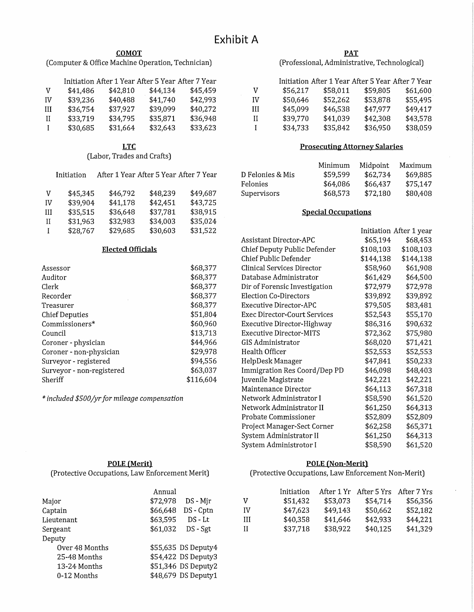#### **COMOT**

(Computer & Office Machine Operation, Technician)

|    |          |          | Initiation After 1 Year After 5 Year After 7 Year |          |
|----|----------|----------|---------------------------------------------------|----------|
| V  | \$41,486 | \$42,810 | \$44.134                                          | \$45.459 |
| IV | \$39,236 | \$40,488 | \$41,740                                          | \$42.993 |
| Ш  | \$36,754 | \$37,927 | \$39,099                                          | \$40,272 |
| Н  | \$33,719 | \$34,795 | \$35,871                                          | \$36.948 |
| I  | \$30,685 | \$31,664 | \$32,643                                          | \$33,623 |

**LTC** 

(Labor, Trades and Crafts)

|    | Initiation | After 1 Year After 5 Year After 7 Year |          |          |
|----|------------|----------------------------------------|----------|----------|
| v  | \$45,345   | \$46,792                               | \$48,239 | \$49,687 |
| IV | \$39,904   | \$41,178                               | \$42,451 | \$43,725 |
| Ш  | \$35,515   | \$36,648                               | \$37,781 | \$38,915 |
| П  | \$31,963   | \$32,983                               | \$34,003 | \$35,024 |
| I  | \$28,767   | \$29,685                               | \$30,603 | \$31,522 |

#### **Elected Officials**

| Assessor                  | \$68,377  |
|---------------------------|-----------|
| Auditor                   | \$68,377  |
| Clerk                     | \$68,377  |
| Recorder                  | \$68,377  |
| Treasurer                 | \$68,377  |
| <b>Chief Deputies</b>     | \$51,804  |
| Commissioners*            | \$60,960  |
| Council                   | \$13,713  |
| Coroner - physician       | \$44,966  |
| Coroner - non-physician   | \$29,978  |
| Surveyor - registered     | \$94,556  |
| Surveyor - non-registered | \$63,037  |
| Sheriff                   | \$116.604 |

**POLE (Merit)**  (Protective Occupations, Law Enforcement Merit)

*\*included \$500/yr for mileage compensation* 

| <b>PAT</b>                                    |
|-----------------------------------------------|
| (Professional, Administrative, Technological) |

|    |          |          | Initiation After 1 Year After 5 Year After 7 Year |          |
|----|----------|----------|---------------------------------------------------|----------|
| v  | \$56,217 | \$58,011 | \$59,805                                          | \$61,600 |
| IV | \$50,646 | \$52,262 | \$53,878                                          | \$55,495 |
| Ш  | \$45,099 | \$46,538 | \$47,977                                          | \$49,417 |
| Н  | \$39,770 | \$41,039 | \$42,308                                          | \$43,578 |
| L  | \$34,733 | \$35,842 | \$36,950                                          | \$38,059 |

#### **Prosecuting Attorney Salaries**

|                  | Minimum  | Midpoint | Maximum  |
|------------------|----------|----------|----------|
| D Felonies & Mis | \$59.599 | \$62.734 | \$69.885 |
| Felonies         | \$64,086 | \$66,437 | \$75,147 |
| Supervisors      | \$68,573 | \$72,180 | \$80,408 |

#### **Special Occupations**

|                                |           | Initiation After 1 year |
|--------------------------------|-----------|-------------------------|
| Assistant Director-APC         | \$65,194  | \$68,453                |
| Chief Deputy Public Defender   | \$108,103 | \$108,103               |
| Chief Public Defender          | \$144,138 | \$144,138               |
| Clinical Services Director     | \$58,960  | \$61,908                |
| Database Administrator         | \$61,429  | \$64,500                |
| Dir of Forensic Investigation  | \$72,979  | \$72,978                |
| <b>Election Co-Directors</b>   | \$39,892  | \$39,892                |
| Executive Director-APC         | \$79,505  | \$83,481                |
| Exec Director-Court Services   | \$52,543  | \$55,170                |
| Executive Director-Highway     | \$86,316  | \$90,632                |
| <b>Executive Director-MITS</b> | \$72,362  | \$75,980                |
| GIS Administrator              | \$68,020  | \$71,421                |
| Health Officer                 | \$52,553  | \$52,553                |
| HelpDesk Manager               | \$47,841  | \$50,233                |
| Immigration Res Coord/Dep PD   | \$46,098  | \$48,403                |
| Juvenile Magistrate            | \$42,221  | \$42,221                |
| Maintenance Director           | \$64,113  | \$67,318                |
| Network Administrator I        | \$58,590  | \$61,520                |
| Network Administrator II       | \$61,250  | \$64,313                |
| Probate Commissioner           | \$52,809  | \$52,809                |
| Project Manager-Sect Corner    | \$62,258  | \$65,371                |
| System Administrator II        | \$61,250  | \$64,313                |
| System Administrotor I         | \$58,590  | \$61,520                |

#### **POLE (Non-Merit)**

(Protective Occupations, Law Enforcement Non-Merit)

|                | Annual              |           |    |
|----------------|---------------------|-----------|----|
| Major          | \$72,978            | DS - Mjr  | v  |
| Captain        | \$66,648            | DS - Cptn | IV |
| Lieutenant     | \$63,595            | $DS - Lt$ | Ш  |
| Sergeant       | \$61,032            | DS - Sgt  | Н  |
| Deputy         |                     |           |    |
| Over 48 Months | \$55,635 DS Deputy4 |           |    |
| 25-48 Months   | \$54,422 DS Deputy3 |           |    |
| 13-24 Months   | \$51,346 DS Deputy2 |           |    |
| 0-12 Months    | \$48,679 DS Deputy1 |           |    |

|    | Initiation | After 1 Yr | After 5 Yrs After 7 Yrs |          |
|----|------------|------------|-------------------------|----------|
| v  | \$51,432   | \$53.073   | \$54.714                | \$56,356 |
| IV | \$47,623   | \$49,143   | \$50,662                | \$52,182 |
| Ш  | \$40,358   | \$41,646   | \$42,933                | \$44,221 |
| Н  | \$37,718   | \$38,922   | \$40,125                | \$41,329 |